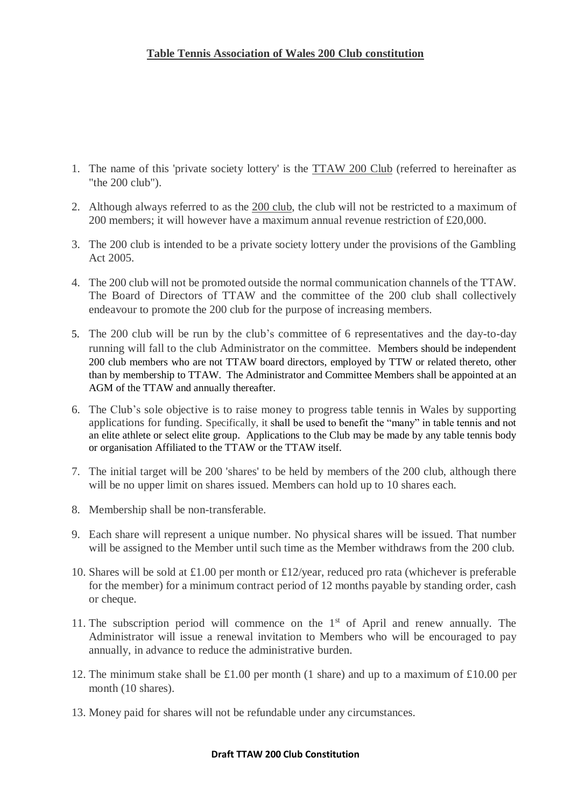- 1. The name of this 'private society lottery' is the TTAW 200 Club (referred to hereinafter as "the 200 club").
- 2. Although always referred to as the 200 club, the club will not be restricted to a maximum of 200 members; it will however have a maximum annual revenue restriction of £20,000.
- 3. The 200 club is intended to be a private society lottery under the provisions of the Gambling Act 2005.
- 4. The 200 club will not be promoted outside the normal communication channels of the TTAW. The Board of Directors of TTAW and the committee of the 200 club shall collectively endeavour to promote the 200 club for the purpose of increasing members.
- 5. The 200 club will be run by the club's committee of 6 representatives and the day-to-day running will fall to the club Administrator on the committee. Members should be independent 200 club members who are not TTAW board directors, employed by TTW or related thereto, other than by membership to TTAW. The Administrator and Committee Members shall be appointed at an AGM of the TTAW and annually thereafter.
- 6. The Club's sole objective is to raise money to progress table tennis in Wales by supporting applications for funding. Specifically, it shall be used to benefit the "many" in table tennis and not an elite athlete or select elite group. Applications to the Club may be made by any table tennis body or organisation Affiliated to the TTAW or the TTAW itself.
- 7. The initial target will be 200 'shares' to be held by members of the 200 club, although there will be no upper limit on shares issued. Members can hold up to 10 shares each.
- 8. Membership shall be non-transferable.
- 9. Each share will represent a unique number. No physical shares will be issued. That number will be assigned to the Member until such time as the Member withdraws from the 200 club.
- 10. Shares will be sold at £1.00 per month or £12/year, reduced pro rata (whichever is preferable for the member) for a minimum contract period of 12 months payable by standing order, cash or cheque.
- 11. The subscription period will commence on the  $1<sup>st</sup>$  of April and renew annually. The Administrator will issue a renewal invitation to Members who will be encouraged to pay annually, in advance to reduce the administrative burden.
- 12. The minimum stake shall be £1.00 per month (1 share) and up to a maximum of £10.00 per month (10 shares).
- 13. Money paid for shares will not be refundable under any circumstances.

# **Draft TTAW 200 Club Constitution**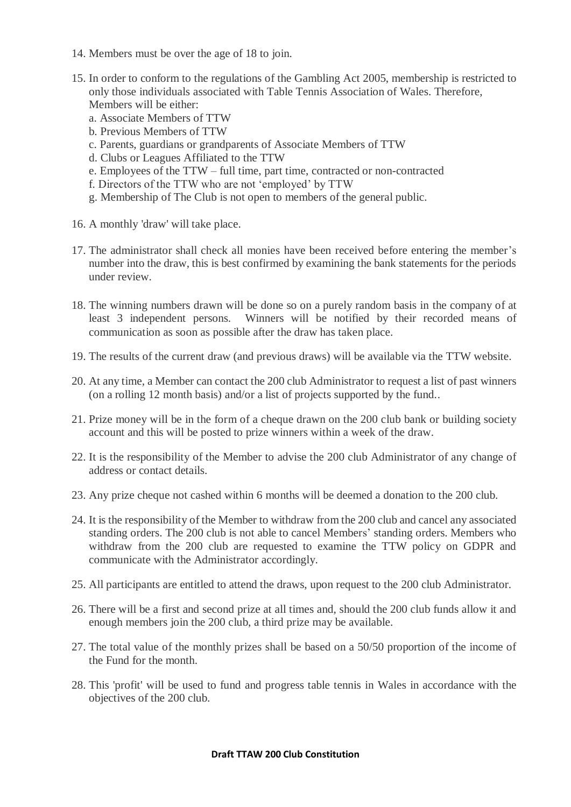- 14. Members must be over the age of 18 to join.
- 15. In order to conform to the regulations of the Gambling Act 2005, membership is restricted to only those individuals associated with Table Tennis Association of Wales. Therefore, Members will be either:
	- a. Associate Members of TTW
	- b. Previous Members of TTW
	- c. Parents, guardians or grandparents of Associate Members of TTW
	- d. Clubs or Leagues Affiliated to the TTW
	- e. Employees of the TTW full time, part time, contracted or non-contracted
	- f. Directors of the TTW who are not 'employed' by TTW
	- g. Membership of The Club is not open to members of the general public.
- 16. A monthly 'draw' will take place.
- 17. The administrator shall check all monies have been received before entering the member's number into the draw, this is best confirmed by examining the bank statements for the periods under review.
- 18. The winning numbers drawn will be done so on a purely random basis in the company of at least 3 independent persons. Winners will be notified by their recorded means of communication as soon as possible after the draw has taken place.
- 19. The results of the current draw (and previous draws) will be available via the TTW website.
- 20. At any time, a Member can contact the 200 club Administrator to request a list of past winners (on a rolling 12 month basis) and/or a list of projects supported by the fund..
- 21. Prize money will be in the form of a cheque drawn on the 200 club bank or building society account and this will be posted to prize winners within a week of the draw.
- 22. It is the responsibility of the Member to advise the 200 club Administrator of any change of address or contact details.
- 23. Any prize cheque not cashed within 6 months will be deemed a donation to the 200 club.
- 24. It is the responsibility of the Member to withdraw from the 200 club and cancel any associated standing orders. The 200 club is not able to cancel Members' standing orders. Members who withdraw from the 200 club are requested to examine the TTW policy on GDPR and communicate with the Administrator accordingly.
- 25. All participants are entitled to attend the draws, upon request to the 200 club Administrator.
- 26. There will be a first and second prize at all times and, should the 200 club funds allow it and enough members join the 200 club, a third prize may be available.
- 27. The total value of the monthly prizes shall be based on a 50/50 proportion of the income of the Fund for the month.
- 28. This 'profit' will be used to fund and progress table tennis in Wales in accordance with the objectives of the 200 club.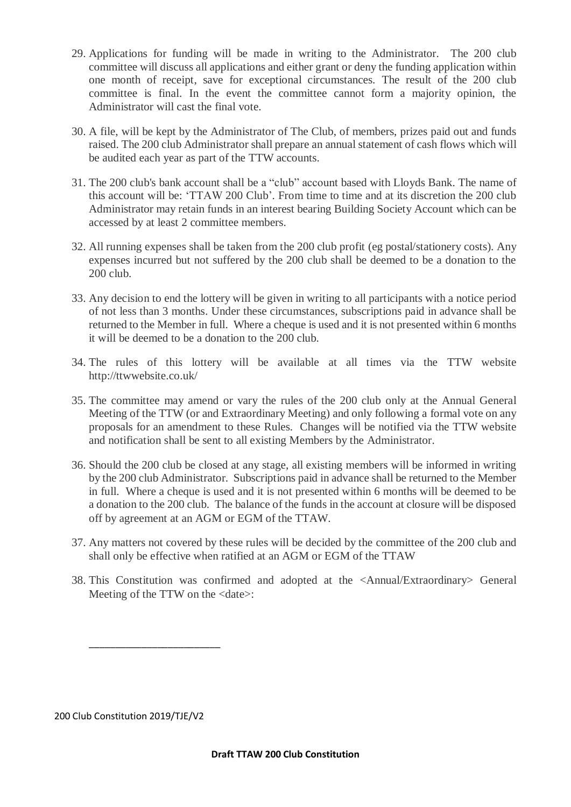- 29. Applications for funding will be made in writing to the Administrator. The 200 club committee will discuss all applications and either grant or deny the funding application within one month of receipt, save for exceptional circumstances. The result of the 200 club committee is final. In the event the committee cannot form a majority opinion, the Administrator will cast the final vote.
- 30. A file, will be kept by the Administrator of The Club, of members, prizes paid out and funds raised. The 200 club Administrator shall prepare an annual statement of cash flows which will be audited each year as part of the TTW accounts.
- 31. The 200 club's bank account shall be a "club" account based with Lloyds Bank. The name of this account will be: 'TTAW 200 Club'. From time to time and at its discretion the 200 club Administrator may retain funds in an interest bearing Building Society Account which can be accessed by at least 2 committee members.
- 32. All running expenses shall be taken from the 200 club profit (eg postal/stationery costs). Any expenses incurred but not suffered by the 200 club shall be deemed to be a donation to the 200 club.
- 33. Any decision to end the lottery will be given in writing to all participants with a notice period of not less than 3 months. Under these circumstances, subscriptions paid in advance shall be returned to the Member in full. Where a cheque is used and it is not presented within 6 months it will be deemed to be a donation to the 200 club.
- 34. The rules of this lottery will be available at all times via the TTW website http://ttwwebsite.co.uk/
- 35. The committee may amend or vary the rules of the 200 club only at the Annual General Meeting of the TTW (or and Extraordinary Meeting) and only following a formal vote on any proposals for an amendment to these Rules. Changes will be notified via the TTW website and notification shall be sent to all existing Members by the Administrator.
- 36. Should the 200 club be closed at any stage, all existing members will be informed in writing by the 200 club Administrator. Subscriptions paid in advance shall be returned to the Member in full. Where a cheque is used and it is not presented within 6 months will be deemed to be a donation to the 200 club. The balance of the funds in the account at closure will be disposed off by agreement at an AGM or EGM of the TTAW.
- 37. Any matters not covered by these rules will be decided by the committee of the 200 club and shall only be effective when ratified at an AGM or EGM of the TTAW
- 38. This Constitution was confirmed and adopted at the <Annual/Extraordinary> General Meeting of the TTW on the <date>:

200 Club Constitution 2019/TJE/V2

\_\_\_\_\_\_\_\_\_\_\_\_\_\_\_\_\_\_\_\_\_\_\_\_\_